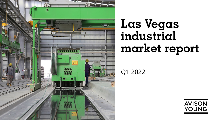

# **Las Vegas industrial market report**

Q1 2022

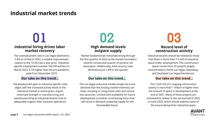### **Industrial market trends**

# **01 02 03**

### **Industrial hiring drives labor market recovery**

The unemployment rate in Las Vegas declined to 5.0% as of March 2022, a notable improvement relative to the 10.3% rate a year prior. Industrial specific employment reached 190,700 workers in March 2022, 6.1% higher than the pre-pandemic peak from November 2019.

The employment gain in industrial specific roles aligns with the increased activity levels in the industrial market in recent years. Expect continued strength in manufacturing and warehouse hiring as industrial tenants look to adequately support their business operations.

## **High demand levels outpace supply**

Market fundamentals remained strong through the first quarter of 2022 as the market recorded a seventh consecutive quarter of positive net absorption. Additionally, total vacancy rates declined to just 1.8% in the quarter.

### **Our take on this trend… Our take on this trend… Our take on this trend…**

The Las Vegas industrial market simply has more demand than the existing market inventory can meet, resulting in rising rental rates and recordlow vacancies. Limited land availability for future development is another contributing factor that will result in demand outpacing supply for the foreseeable future.

## **Record level of construction activity**

Industrial tenants should be relieved to know that there is more than 7.5 msf of industrial space under development. This construction space comes from 37 projects largely concentrated in North Las Vegas, Speedway, and Southeast Las Vegas/Henderson.

The 7,533,102 sf in ongoing construction activity is more than 1 million sf higher than the amount of space in development at the end of 2021. Many of these projects are scheduled to deliver in the second half of 2022 or early 2023, which should address some of the excess demand for industrial space.

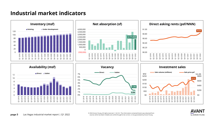### **Industrial market indicators**





**page 3** Las Vegas industrial market report | Q1 2022 
<sup>© 2022 Avison Young. All rights reserved. E. & O.E.: The information contained herein was obtained from<br>Sources which we deem reliable and, while thought to be correc</sup> sources which we deem reliable and, while thought to be correct, is not guaranteed by AvisonYoung.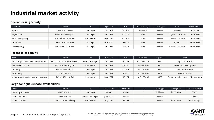### **Industrial market activity**

### **Recent leasing activity**

| Tenant name       | Address              | City      | Sign date | <b>Size</b> | Transaction type | Lease type | Term              | Rent (monthly) |
|-------------------|----------------------|-----------|-----------|-------------|------------------|------------|-------------------|----------------|
| Amazon            | 5801 N Nicco Way     | Las Vegas | Feb 2022  | 341,254     | Renewal          | Direct     | 10 years          | \$0.58 NNN     |
| Hagen USA         | Ann Rd & Beesley Dr  | Las Vegas | Feb 2022  | 201,500     | <b>New</b>       | Direct     | 10 years 4 months | \$0.69 NNN     |
| evTerra Recycling | 1085 Alper Center Dr | Henderson | Mar 2022  | 102,960     | New              | Direct     | 7 years 2 months  | \$0.76 NNN     |
| Lucky Top         | 5840 Donovan Way     | Las Vegas | Mar 2022  | 95,513      | <b>New</b>       | Direct     | 5 years           | \$0.96 NNN     |
| Felix Lighting    | 7465 Dean Martin Dr  | Las Vegas | Feb 2022  | 30,476      | New              | Direct     | 5 years 3 months  | \$0.96 NNN     |

### **Recent sales activity**

| Buyer                                  | Address                       | City            | Sale date | <b>Size</b> | Sale price    | Sale price psf | Seller                            |
|----------------------------------------|-------------------------------|-----------------|-----------|-------------|---------------|----------------|-----------------------------------|
| Pauls Corp, Dream Alternatives Trust   | 5345 - 5445 E Centennial Pkwy | North Las Vegas | Jan 2022  | 683,436     | \$123,888,000 | \$181          | CapRock Partners                  |
| Invesco Real Estate                    | 1635 - 1645 Amigo St          | Henderson       | Feb 2022  | 154,435     | \$25,000,000  | \$162          | <b>Brass Cap Development</b>      |
| TA Realty                              | 6620 Escondido St             | Las Vegas       | Jan 2022  | 153,120     | \$20,200,000  | \$132          | MAS Investments                   |
| <b>MCA Realty</b>                      | 7201 W Post Rd                | Las Vegas       | Feb 2022  | 80,677      | \$16,900,000  | \$209          | JMAC Industries                   |
| Nicola Wealth Real Estate Acquisitions | 249 – 257 Elliott Rd          | Henderson       | Mar 2022  | 86,274      | \$16,175,000  | \$187          | Sierra Nevada Property Management |

#### **Large contiguous space availabilities**

| Owner                   | <b>Address</b>      | City            | Date available   | Block size | <b>Floors</b> | Lease type | Asking rent | Landlord broker  |
|-------------------------|---------------------|-----------------|------------------|------------|---------------|------------|-------------|------------------|
| Dermody Properties      | 6550 Bruce St       | Las Vegas       | Vacant           | 95,600     |               | Sublease   | \$0.95 NNN  | CBRE             |
| <b>Clarion Partners</b> | 4980 Statz St       | North Las Vegas | June 2022        | 64,440     |               | Direct     |             | Colliers         |
| Marvin Schmidt          | 7485 Commercial Way | Henderson       | <b>July 2022</b> | 53,204     |               | Direct     | \$0.94 NNN  | <b>MDL Group</b> |

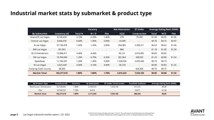### **Industrial market stats by submarket & product type**

|                              |                |                          | Vacancy                  |                          | <b>Net Absorption</b>    | <b>SF Under</b>          |              |        | <b>Average Asking Rent (NNN)</b> |
|------------------------------|----------------|--------------------------|--------------------------|--------------------------|--------------------------|--------------------------|--------------|--------|----------------------------------|
| <b>By Submarket</b>          | Inventory (sf) | <b>Total %</b>           | W/D                      | <b>Flex</b>              | <b>1Q22</b>              | <b>Construction</b>      | <b>Total</b> | W/D    | <b>Flex</b>                      |
| Airport/E Las Vegas          | 8,140,434      | 2.10%                    | 2.20%                    | 1.40%                    | 278                      | 79,200                   | \$1.00       | \$0.95 | \$1.06                           |
| Central Las Vegas            | 8,066,476      | 0.60%                    | 1.90%                    | 0.00%                    | $-10,099$                | $\overline{\phantom{a}}$ | \$0.76       | \$0.75 | \$0.97                           |
| N Las Vegas                  | 37,190,478     | 1.20%                    | 1.20%                    | 5.00%                    | 354,985                  | 2,390,311                | \$0.63       | \$0.62 | \$1.00                           |
| NW Las Vegas                 | 301,851        | $\sim$                   | $\sim$                   | $\sim$                   | 866                      | $\sim$                   | \$1.18       | \$1.00 | \$1.20                           |
| SE LV/Henderson              | 13,998,411     | 4.40%                    | 4.40%                    | $\overline{\phantom{a}}$ | 96,131                   | 2,016,855                | \$0.85       | \$0.85 | $\sim$                           |
| SW Las Vegas                 | 19,704,040     | 1.20%                    | 0.70%                    | 6.20%                    | 281,064                  | 348,992                  | \$1.23       | \$0.86 | \$1.52                           |
| Speedway                     | 11,184,597     | 1.20%                    | 1.30%                    | 0.00%                    | 1,328,926                | 2,033,444                | \$0.73       | \$0.73 | $\sim$                           |
| W Las Vegas                  | 3,623,328      | 4.00%                    | 4.10%                    | 4.00%                    | $-36,729$                | $\sim$                   | \$0.89       | \$0.83 | \$1.25                           |
| <b>Outlying Clark County</b> | 68,000         | $\overline{\phantom{a}}$ | $\overline{\phantom{a}}$ | $\overline{\phantom{a}}$ | $\overline{\phantom{a}}$ | 664,300                  | \$0.75       | \$0.75 | $\sim$                           |
| <b>Market Total</b>          | 102,277,615    | 1.80%                    | 1.80%                    | 1.70%                    | 2,015,422                | 7,533,102                | \$0.85       | \$0.80 | \$1.34                           |

| <b>By Product Type</b>   | Inventory (sf) | Vacancv | <b>10 Absorption</b> | <b>SF Under Construction</b> | <b>Available Sublease</b> | <b>Average Asking Rent (NNN)</b> |
|--------------------------|----------------|---------|----------------------|------------------------------|---------------------------|----------------------------------|
| Warehouse / Distribution | 92.128.405     | .80%    | 2,105,010            | 7.533.102                    | 371,672                   | \$0.80                           |
| Flex                     | 10,149,210     | .70%    | 6,014                | $\sim$                       | 14.671                    | \$1.34                           |
| <b>Market Total</b>      | 102,277,615    | 1.80%   | 2.111.024            | 7,533,102                    | 386,343                   | \$0.85                           |